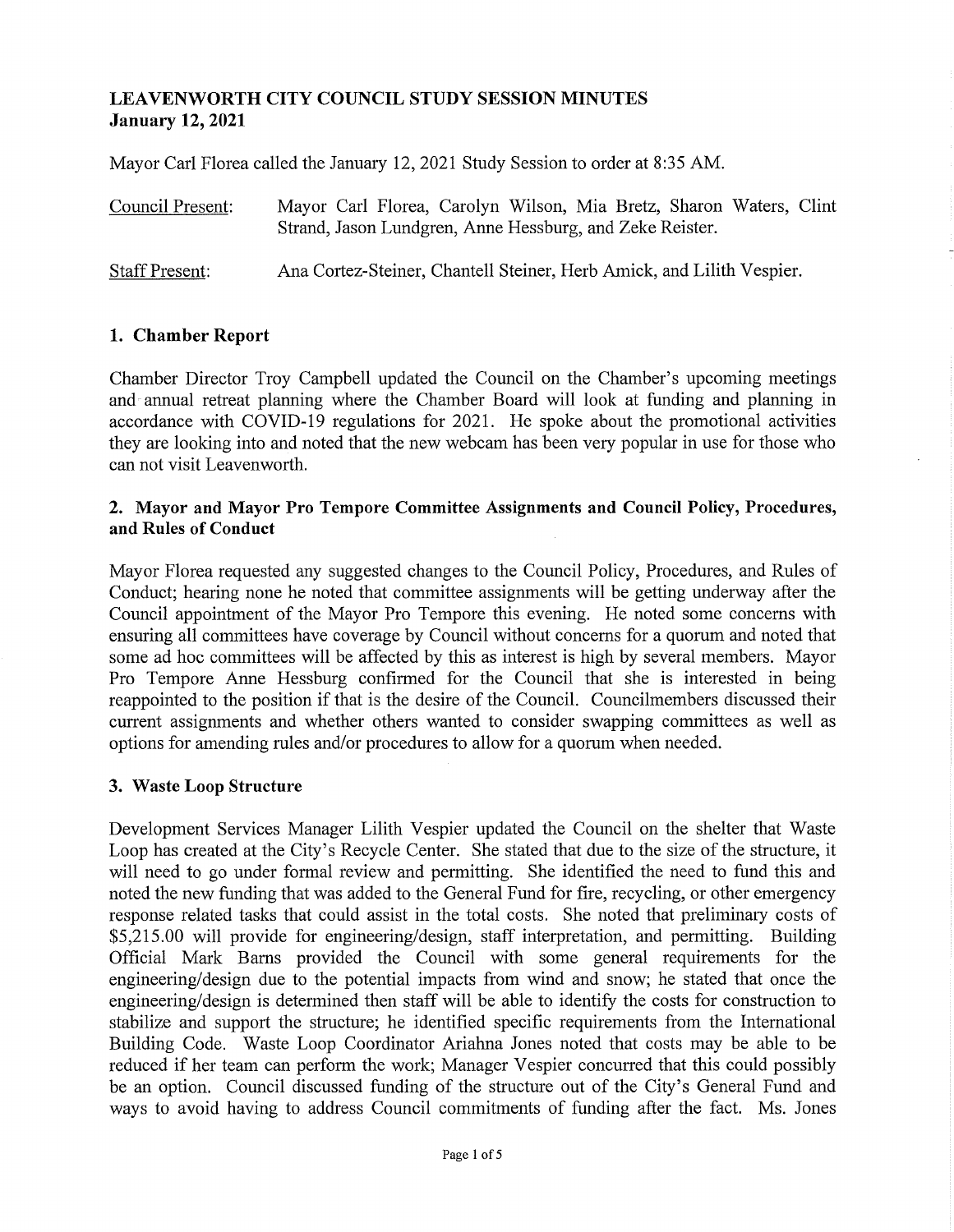# **LEAVENWORTH CITY COUNCIL STUDY SESSION MINUTES January 12, 2021**

Mayor Carl Florea called the January 12, 2021 Study Session to order at 8:35 AM.

| Council Present: | Mayor Carl Florea, Carolyn Wilson, Mia Bretz, Sharon Waters, Clint |  |  |  |  |  |  |  |
|------------------|--------------------------------------------------------------------|--|--|--|--|--|--|--|
|                  | Strand, Jason Lundgren, Anne Hessburg, and Zeke Reister.           |  |  |  |  |  |  |  |
|                  |                                                                    |  |  |  |  |  |  |  |

Staff Present: Ana Cortez-Steiner, Chantell Steiner, Herb Amick, and Lilith Vespier.

## **1. Chamber Report**

Chamber Director Troy Campbell updated the Council on the Chamber's upcoming meetings and annual retreat planning where the Chamber Board will look at funding and planning in accordance with COVID-19 regulations for 2021. He spoke about the promotional activities they are looking into and noted that the new webcam has been very popular in use for those who can not visit Leavenworth.

### **2. Mayor and Mayor Pro Tempore Committee Assignments and Council Policy, Procedures, and Rules of Conduct**

Mayor Florea requested any suggested changes to the Council Policy, Procedures, and Rules of Conduct; hearing none he noted that committee assignments will be getting underway after the Council appointment of the Mayor Pro Tempore this evening. He noted some concerns with ensuring all committees have coverage by Council without concerns for a quorum and noted that some ad hoc committees will be affected by this as interest is high by several members. Mayor Pro Tempore Anne Hessburg confirmed for the Council that she is interested in being reappointed to the position if that is the desire of the Council. Councilmembers discussed their current assignments and whether others wanted to consider swapping committees as well as options for amending rules and/or procedures to allow for a quorum when needed.

### **3. Waste Loop Structure**

Development Services Manager Lilith Vespier updated the Council on the shelter that Waste Loop has created at the City's Recycle Center. She stated that due to the size of the structure, it will need to go under formal review and permitting. She identified the need to fund this and noted the new funding that was added to the General Fund for fire, recycling, or other emergency response related tasks that could assist in the total costs. She noted that preliminary costs of \$5,215.00 will provide for engineering/design, staff interpretation, and permitting. Building Official Mark Barns provided the Council with some general requirements for the engineering/design due to the potential impacts from wind and snow; he stated that once the engineering/design is determined then staff will be able to identify the costs for construction to stabilize and support the structure; he identified specific requirements from the International Building Code. Waste Loop Coordinator Ariahna Jones noted that costs may be able to be reduced if her team can perform the work; Manager Vespier concurred that this could possibly be an option. Council discussed funding of the structure out of the City's General Fund and ways to avoid having to address Council commitments of funding after the fact. Ms. Jones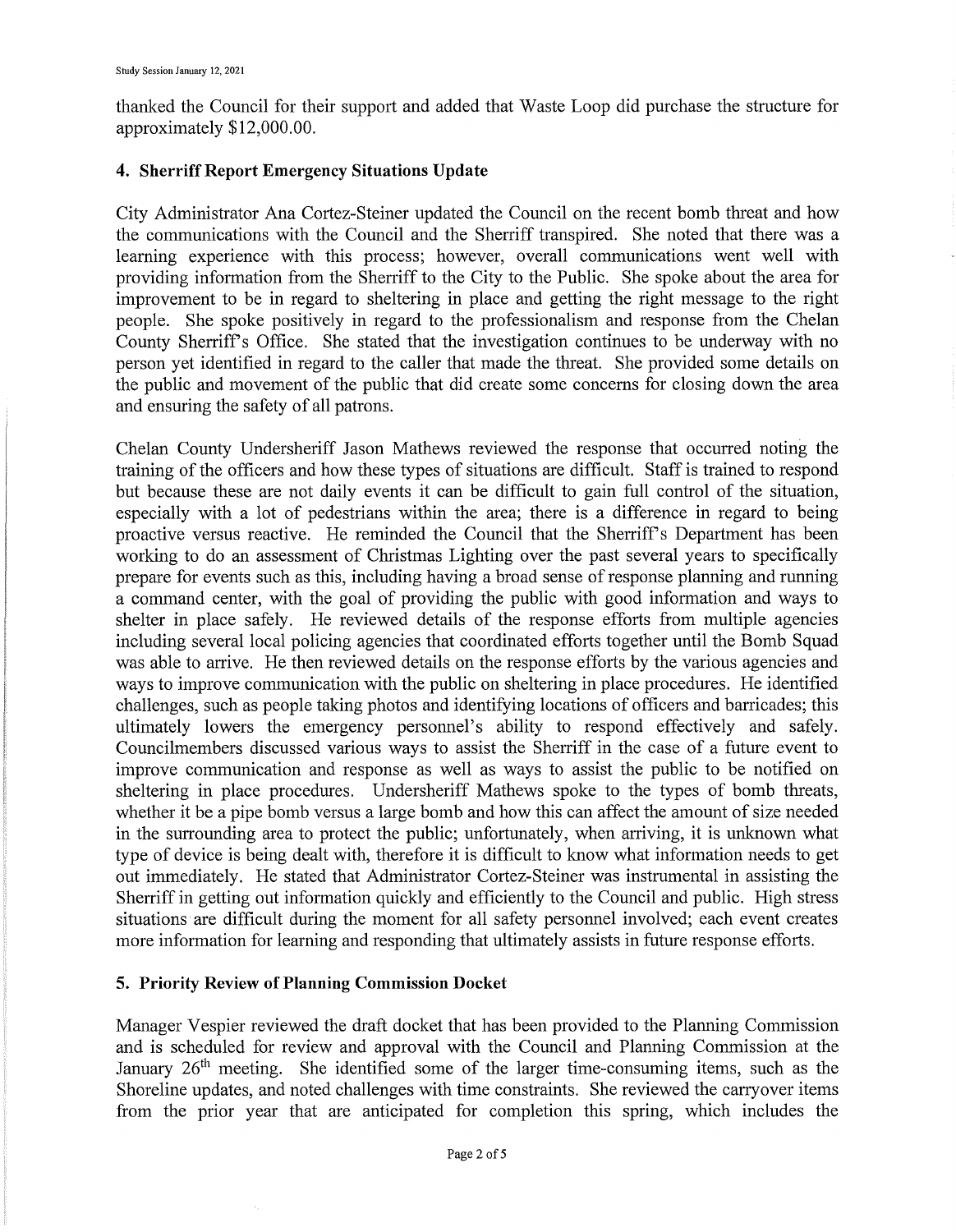thanked the Council for their support and added that Waste Loop did purchase the structure for approximately \$12,000.00.

### **4. Sherriff Report Emergency Situations Update**

City Administrator Ana Cortez-Steiner updated the Council on the recent bomb threat and how the communications with the Council and the Sherriff transpired. She noted that there was a learning experience with this process; however, overall communications went well with providing information from the Sherriff to the City to the Public. She spoke about the area for improvement to be in regard to sheltering in place and getting the right message to the right people. She spoke positively in regard to the professionalism and response from the Chelan County Sherriffs Office. She stated that the investigation continues to be underway with no person yet identified in regard to the caller that made the threat. She provided some details on the public and movement of the public that did create some concerns for closing down the area and ensuring the safety of all patrons.

Chelan County Undersheriff Jason Mathews reviewed the response that occurred noting the training of the officers and how these types of situations are difficult. Staff is trained to respond but because these are not daily events it can be difficult to gain full control of the situation, especially with a lot of pedestrians within the area; there is a difference in regard to being proactive versus reactive. He reminded the Council that the Sherriff s Department has been working to do an assessment of Christmas Lighting over the past several years to specifically prepare for events such as this, including having a broad sense of response planning and running a command center, with the goal of providing the public with good information and ways to shelter in place safely. He reviewed details of the response efforts from multiple agencies including several local policing agencies that coordinated efforts together until the Bomb Squad was able to arrive. He then reviewed details on the response efforts by the various agencies and ways to improve communication with the public on sheltering in place procedures. He identified challenges, such as people taking photos and identifying locations of officers and barricades; this ultimately lowers the emergency personnel's ability to respond effectively and safely. Councilmembers discussed various ways to assist the Sherriff in the case of a future event to improve communication and response as well as ways to assist the public to be notified on sheltering in place procedures. Undersheriff Mathews spoke to the types of bomb threats, whether it be a pipe bomb versus a large bomb and how this can affect the amount of size needed in the surrounding area to protect the public; unfortunately, when arriving, it is unknown what type of device is being dealt with, therefore it is difficult to know what information needs to get out immediately. He stated that Administrator Cortez-Steiner was instrumental in assisting the Sherriff in getting out information quickly and efficiently to the Council and public. High stress situations are difficult during the moment for all safety personnel involved; each event creates more information for learning and responding that ultimately assists in future response efforts.

### **5. Priority Review of Planning Commission Docket**

Manager Vespier reviewed the draft docket that has been provided to the Planning Commission and is scheduled for review and approval with the Council and Planning Commission at the January 26<sup>th</sup> meeting. She identified some of the larger time-consuming items, such as the Shoreline updates, and noted challenges with time constraints. She reviewed the carryover items from the prior year that are anticipated for completion this spring, which includes the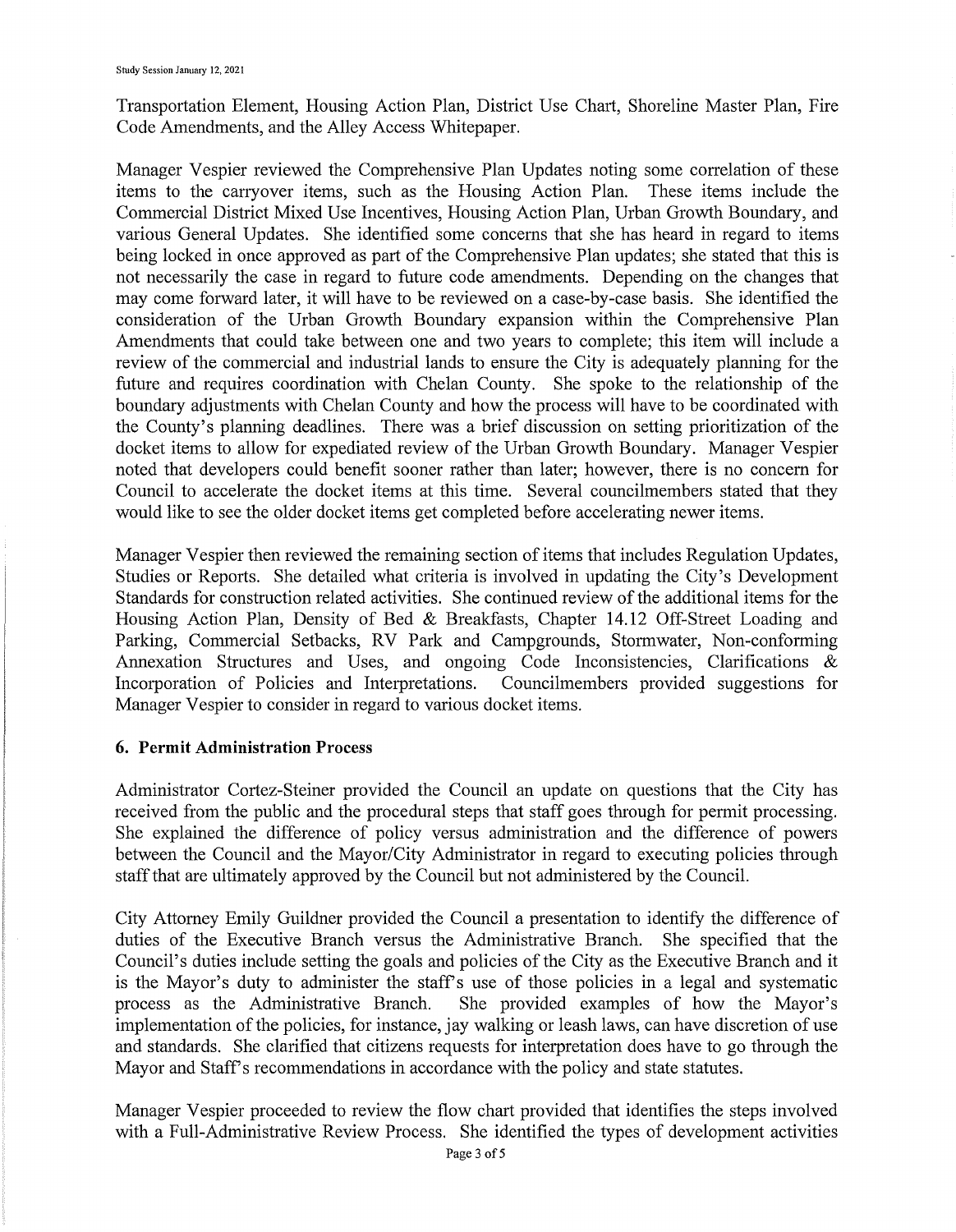Transportation Element, Housing Action Plan, District Use Chart, Shoreline Master Plan, Fire Code Amendments, and the Alley Access Whitepaper.

Manager Vespier reviewed the Comprehensive Plan Updates noting some correlation of these items to the canyover items, such as the Housing Action Plan. These items include the Commercial District Mixed Use Incentives, Housing Action Plan, Urban Growth Boundary, and various General Updates. She identified some concerns that she has heard in regard to items being locked in once approved as part of the Comprehensive Plan updates; she stated that this is not necessarily the case in regard to future code amendments. Depending on the changes that may come forward later, it will have to be reviewed on a case-by-case basis. She identified the consideration of the Urban Growth Boundary expansion within the Comprehensive Plan Amendments that could take between one and two years to complete; this item will include a review of the commercial and industrial lands to ensure the City is adequately planning for the future and requires coordination with Chelan County. She spoke to the relationship of the boundary adjustments with Chelan County and how the process will have to be coordinated with the County's planning deadlines. There was a brief discussion on setting prioritization of the docket items to allow for expediated review of the Urban Growth Boundary. Manager Vespier noted that developers could benefit sooner rather than later; however, there is no concern for Council to accelerate the docket items at this time. Several councilmembers stated that they would like to see the older docket items get completed before accelerating newer items.

Manager Vespier then reviewed the remaining section of items that includes Regulation Updates, Studies or Reports. She detailed what criteria is involved in updating the City's Development Standards for construction related activities. She continued review of the additional items for the Housing Action Plan, Density of Bed & Breakfasts, Chapter 14.12 Off-Street Loading and Parking, Commercial Setbacks, RV Park and Campgrounds, Stormwater, Non-conforming Annexation Structures and Uses, and ongoing Code Inconsistencies, Clarifications & Incorporation of Policies and Interpretations. Councilmembers provided suggestions for Manager Vespier to consider in regard to various docket items.

### **6. Permit Administration Process**

Administrator Cortez-Steiner provided the Council an update on questions that the City has received from the public and the procedural steps that staff goes through for permit processing. She explained the difference of policy versus administration and the difference of powers between the Council and the Mayor/City Administrator in regard to executing policies through staff that are ultimately approved by the Council but not administered by the Council.

City Attorney Emily Guildner provided the Council a presentation to identify the difference of duties of the Executive Branch versus the Administrative Branch. She specified that the Council's duties include setting the goals and policies of the City as the Executive Branch and it is the Mayor's duty to administer the staff's use of those policies in a legal and systematic process as the Administrative Branch. She provided examples of how the Mayor's implementation of the policies, for instance, jay walking or leash laws, can have discretion of use and standards. She clarified that citizens requests for interpretation does have to go through the Mayor and Staff's recommendations in accordance with the policy and state statutes.

Manager Vespier proceeded to review the flow chart provided that identifies the steps involved with a Full-Administrative Review Process. She identified the types of development activities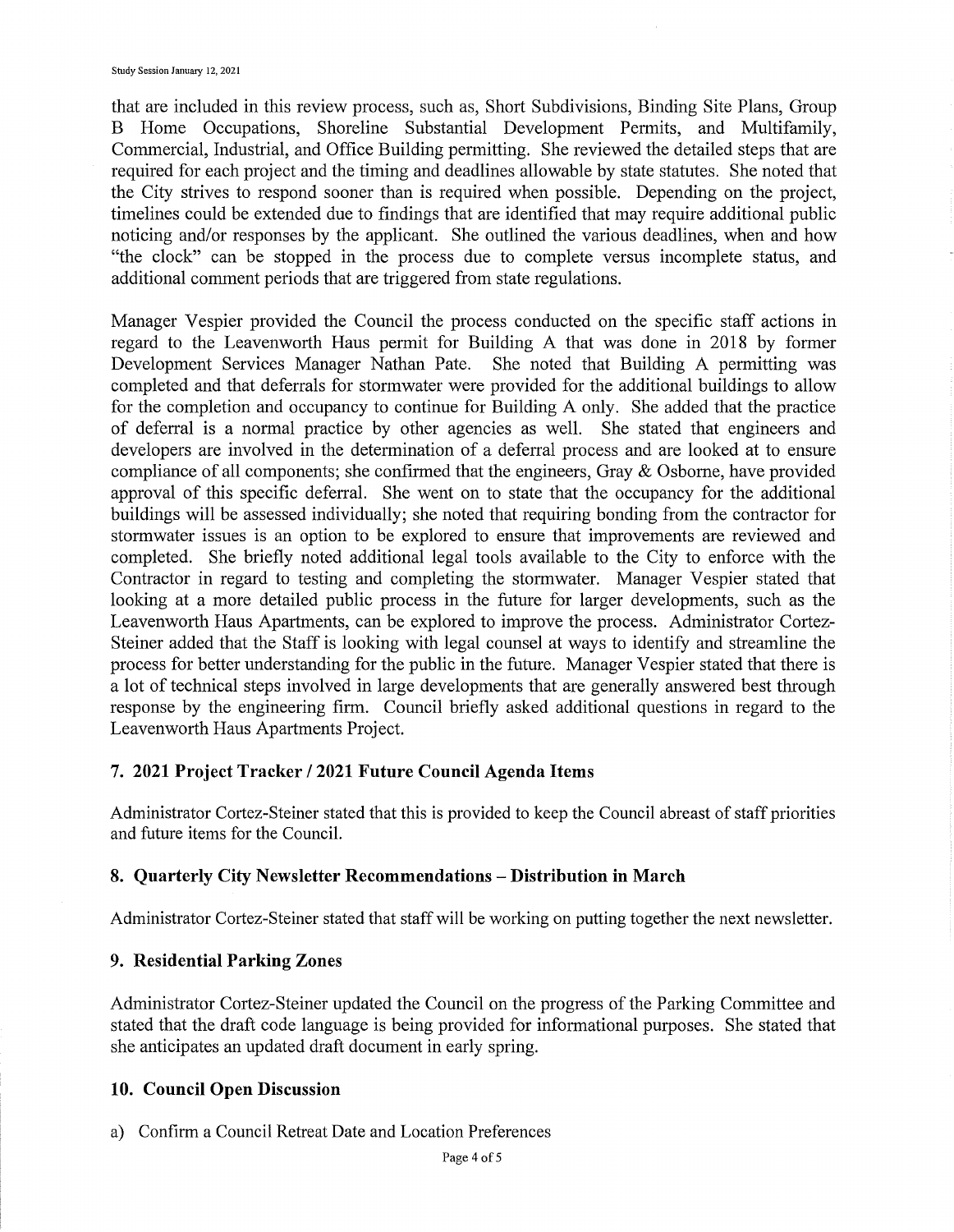that are included in this review process, such as, Short Subdivisions, Binding Site Plans, Group B Home Occupations, Shoreline Substantial Development Permits, and Multifamily, Commercial, Industrial, and Office Building permitting. She reviewed the detailed steps that are required for each project and the timing and deadlines allowable by state statutes. She noted that the City strives to respond sooner than is required when possible. Depending on the project, timelines could be extended due to findings that are identified that may require additional public noticing and/or responses by the applicant. She outlined the various deadlines, when and how "the clock" can be stopped in the process due to complete versus incomplete status, and additional comment periods that are triggered from state regulations.

Manager Vespier provided the Council the process conducted on the specific staff actions in regard to the Leavenworth Haus permit for Building A that was done in 2018 by former Development Services Manager Nathan Pate. She noted that Building A permitting was completed and that deferrals for stormwater were provided for the additional buildings to allow for the completion and occupancy to continue for Building A only. She added that the practice of deferral is a normal practice by other agencies as well. She stated that engineers and developers are involved in the determination of a deferral process and are looked at to ensure compliance of all components; she confirmed that the engineers, Gray & Osborne, have provided approval of this specific deferral. She went on to state that the occupancy for the additional buildings will be assessed individually; she noted that requiring bonding from the contractor for stormwater issues is an option to be explored to ensure that improvements are reviewed and completed. She briefly noted additional legal tools available to the City to enforce with the Contractor in regard to testing and completing the stormwater. Manager Vespier stated that looking at a more detailed public process in the future for larger developments, such as the Leavenworth Haus Apartments, can be explored to improve the process. Administrator Cortez-Steiner added that the Staff is looking with legal counsel at ways to identify and streamline the process for better understanding for the public in the future. Manager Vespier stated that there is a lot of technical steps involved in large developments that are generally answered best through response by the engineering firm. Council briefly asked additional questions in regard to the Leavenworth Haus Apartments Project.

#### **7. 2021 Project Tracker I 2021 Future Council Agenda Items**

Administrator Cortez-Steiner stated that this is provided to keep the Council abreast of staff priorities and future items for the Council.

#### **8. Quarterly City Newsletter Recommendations - Distribution in March**

Administrator Cortez-Steiner stated that staff will be working on putting together the next newsletter.

#### **9. Residential Parking Zones**

Administrator Cortez-Steiner updated the Council on the progress of the Parking Committee and stated that the draft code language is being provided for informational purposes. She stated that she anticipates an updated draft document in early spring.

#### **10. Council Open Discussion**

a) Confirm a Council Retreat Date and Location Preferences